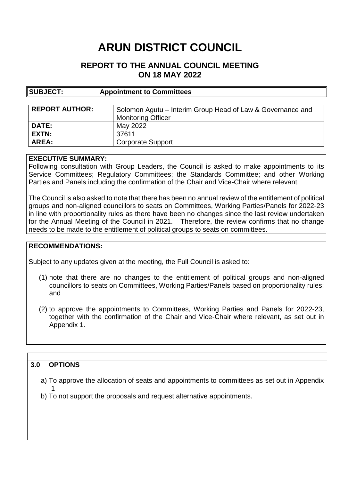# **ARUN DISTRICT COUNCIL**

# **REPORT TO THE ANNUAL COUNCIL MEETING ON 18 MAY 2022**

| SUBJECT:              | <b>Appointment to Committees</b>                           |
|-----------------------|------------------------------------------------------------|
|                       |                                                            |
| <b>REPORT AUTHOR:</b> | Solomon Agutu – Interim Group Head of Law & Governance and |
|                       | <b>Monitoring Officer</b>                                  |
| <b>DATE:</b>          | May 2022                                                   |
| EXTN:                 | 37611                                                      |
| <b>AREA:</b>          | <b>Corporate Support</b>                                   |

#### **EXECUTIVE SUMMARY:**

Following consultation with Group Leaders, the Council is asked to make appointments to its Service Committees; Regulatory Committees; the Standards Committee; and other Working Parties and Panels including the confirmation of the Chair and Vice-Chair where relevant.

The Council is also asked to note that there has been no annual review of the entitlement of political groups and non-aligned councillors to seats on Committees, Working Parties/Panels for 2022-23 in line with proportionality rules as there have been no changes since the last review undertaken for the Annual Meeting of the Council in 2021. Therefore, the review confirms that no change needs to be made to the entitlement of political groups to seats on committees.

#### **RECOMMENDATIONS:**

Subject to any updates given at the meeting, the Full Council is asked to:

- (1) note that there are no changes to the entitlement of political groups and non-aligned councillors to seats on Committees, Working Parties/Panels based on proportionality rules; and
- (2) to approve the appointments to Committees, Working Parties and Panels for 2022-23, together with the confirmation of the Chair and Vice-Chair where relevant, as set out in Appendix 1.

### **3.0 OPTIONS**

a) To approve the allocation of seats and appointments to committees as set out in Appendix 1

b) To not support the proposals and request alternative appointments.